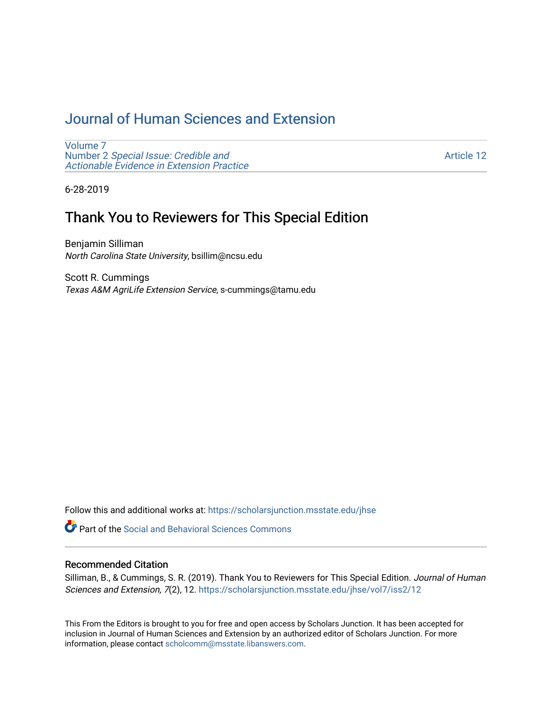# [Journal of Human Sciences and Extension](https://scholarsjunction.msstate.edu/jhse)

[Volume 7](https://scholarsjunction.msstate.edu/jhse/vol7) Number 2 [Special Issue: Credible and](https://scholarsjunction.msstate.edu/jhse/vol7/iss2)  [Actionable Evidence in Extension Practice](https://scholarsjunction.msstate.edu/jhse/vol7/iss2) 

[Article 12](https://scholarsjunction.msstate.edu/jhse/vol7/iss2/12) 

6-28-2019

## Thank You to Reviewers for This Special Edition

Benjamin Silliman North Carolina State University, bsillim@ncsu.edu

Scott R. Cummings Texas A&M AgriLife Extension Service, s-cummings@tamu.edu

Follow this and additional works at: [https://scholarsjunction.msstate.edu/jhse](https://scholarsjunction.msstate.edu/jhse?utm_source=scholarsjunction.msstate.edu%2Fjhse%2Fvol7%2Fiss2%2F12&utm_medium=PDF&utm_campaign=PDFCoverPages)

**C** Part of the Social and Behavioral Sciences Commons

#### Recommended Citation

Silliman, B., & Cummings, S. R. (2019). Thank You to Reviewers for This Special Edition. Journal of Human Sciences and Extension, 7(2), 12. [https://scholarsjunction.msstate.edu/jhse/vol7/iss2/12](https://scholarsjunction.msstate.edu/jhse/vol7/iss2/12?utm_source=scholarsjunction.msstate.edu%2Fjhse%2Fvol7%2Fiss2%2F12&utm_medium=PDF&utm_campaign=PDFCoverPages)

This From the Editors is brought to you for free and open access by Scholars Junction. It has been accepted for inclusion in Journal of Human Sciences and Extension by an authorized editor of Scholars Junction. For more information, please contact [scholcomm@msstate.libanswers.com](mailto:scholcomm@msstate.libanswers.com).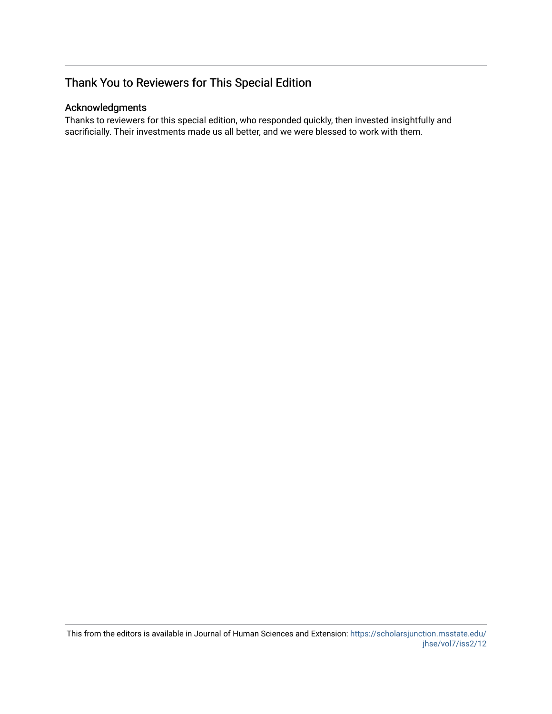## Thank You to Reviewers for This Special Edition

### Acknowledgments

Thanks to reviewers for this special edition, who responded quickly, then invested insightfully and sacrificially. Their investments made us all better, and we were blessed to work with them.

This from the editors is available in Journal of Human Sciences and Extension: [https://scholarsjunction.msstate.edu/](https://scholarsjunction.msstate.edu/jhse/vol7/iss2/12) [jhse/vol7/iss2/12](https://scholarsjunction.msstate.edu/jhse/vol7/iss2/12)